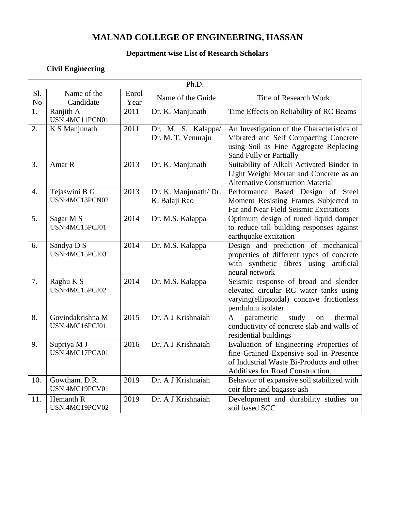# **MALNAD COLLEGE OF ENGINEERING, HASSAN**

#### **Department wise List of Research Scholars**

### **Civil Engineering**

|                       | Ph.D.                              |               |                                          |                                                                                                                                                                           |  |
|-----------------------|------------------------------------|---------------|------------------------------------------|---------------------------------------------------------------------------------------------------------------------------------------------------------------------------|--|
| Sl.<br>N <sub>o</sub> | Name of the<br>Candidate           | Enrol<br>Year | Name of the Guide                        | <b>Title of Research Work</b>                                                                                                                                             |  |
| 1.                    | Ranjith A<br>USN:4MC11PCN01        | 2011          | Dr. K. Manjunath                         | Time Effects on Reliability of RC Beams                                                                                                                                   |  |
| 2.                    | K S Manjunath                      | 2011          | Dr. M. S. Kalappa/<br>Dr. M. T. Venuraju | An Investigation of the Characteristics of<br>Vibrated and Self Compacting Concrete<br>using Soil as Fine Aggregate Replacing<br>Sand Fully or Partially                  |  |
| 3.                    | Amar R                             | 2013          | Dr. K. Manjunath                         | Suitability of Alkali Activated Binder in<br>Light Weight Mortar and Concrete as an<br><b>Alternative Construction Material</b>                                           |  |
| $\overline{4}$ .      | Tejaswini B G<br>USN:4MC13PCN02    | 2013          | Dr. K. Manjunath/ Dr.<br>K. Balaji Rao   | Performance Based Design of Steel<br>Moment Resisting Frames Subjected to<br>Far and Near Field Seismic Excitations                                                       |  |
| 5.                    | Sagar M S<br>USN:4MC15PCJ01        | 2014          | Dr. M.S. Kalappa                         | Optimum design of tuned liquid damper<br>to reduce tall building responses against<br>earthquake excitation                                                               |  |
| 6.                    | Sandya D S<br>USN:4MC15PCJ03       | 2014          | Dr. M.S. Kalappa                         | Design and prediction of mechanical<br>properties of different types of concrete<br>with synthetic fibres using artificial<br>neural network                              |  |
| 7.                    | Raghu K S<br>USN:4MC15PCJ02        | 2014          | Dr. M.S. Kalappa                         | Seismic response of broad and slender<br>elevated circular RC water tanks using<br>varying(ellipsoidal) concave frictionless<br>pendulum isolater                         |  |
| 8.                    | Govindakrishna M<br>USN:4MC16PCJ01 | 2015          | Dr. A J Krishnaiah                       | study<br>thermal<br>parametric<br>$\mathbf{A}$<br>on<br>conductivity of concrete slab and walls of<br>residential buildings                                               |  |
| 9.                    | Supriya M J<br>USN:4MC17PCA01      | 2016          | Dr. A J Krishnaiah                       | Evaluation of Engineering Properties of<br>fine Grained Expensive soil in Presence<br>of Industrial Waste Bi-Products and other<br><b>Additives for Road Construction</b> |  |
| 10.                   | Gowtham. D.R.<br>USN:4MC19PCV01    | 2019          | Dr. A J Krishnaiah                       | Behavior of expansive soil stabilized with<br>coir fibre and bagasse ash                                                                                                  |  |
| 11.                   | Hemanth R<br>USN:4MC19PCV02        | 2019          | Dr. A J Krishnaiah                       | Development and durability studies on<br>soil based SCC                                                                                                                   |  |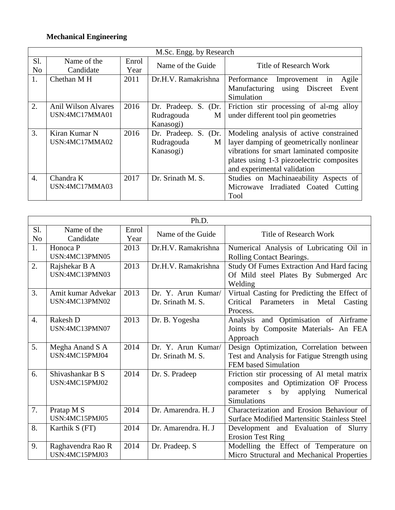### **Mechanical Engineering**

|                       | M.Sc. Engg. by Research                      |               |                                                            |                                                                                                                                                                                                             |  |
|-----------------------|----------------------------------------------|---------------|------------------------------------------------------------|-------------------------------------------------------------------------------------------------------------------------------------------------------------------------------------------------------------|--|
| Sl.<br>N <sub>o</sub> | Name of the<br>Candidate                     | Enrol<br>Year | Name of the Guide                                          | <b>Title of Research Work</b>                                                                                                                                                                               |  |
| 1.                    | Chethan M H                                  | 2011          | Dr.H.V. Ramakrishna                                        | Agile<br>Performance<br>Improvement<br>in<br>Event<br>Manufacturing using Discreet<br>Simulation                                                                                                            |  |
| 2.                    | <b>Anil Wilson Alvares</b><br>USN:4MC17MMA01 | 2016          | Dr. Pradeep.<br>S.<br>(Dr.<br>Rudragouda<br>M<br>Kanasogi) | Friction stir processing of al-mg alloy<br>under different tool pin geometries                                                                                                                              |  |
| 3.                    | Kiran Kumar N<br>USN:4MC17MMA02              | 2016          | Dr. Pradeep. S. (Dr.<br>Rudragouda<br>M<br>Kanasogi)       | Modeling analysis of active constrained<br>layer damping of geometrically nonlinear<br>vibrations for smart laminated composite<br>plates using 1-3 piezoelectric composites<br>and experimental validation |  |
| $\overline{4}$ .      | Chandra K<br>USN:4MC17MMA03                  | 2017          | Dr. Srinath M. S.                                          | Studies on Machinaeability Aspects of<br>Microwave Irradiated Coated Cutting<br>Tool                                                                                                                        |  |

|                       | Ph.D.                                |               |                                         |                                                                                                                                                              |  |
|-----------------------|--------------------------------------|---------------|-----------------------------------------|--------------------------------------------------------------------------------------------------------------------------------------------------------------|--|
| Sl.<br>N <sub>o</sub> | Name of the<br>Candidate             | Enrol<br>Year | Name of the Guide                       | <b>Title of Research Work</b>                                                                                                                                |  |
| 1.                    | Honoca P<br>USN:4MC13PMN05           | 2013          | Dr.H.V. Ramakrishna                     | Numerical Analysis of Lubricating Oil in<br>Rolling Contact Bearings.                                                                                        |  |
| 2.                    | Rajshekar B A<br>USN:4MC13PMN03      | 2013          | Dr.H.V. Ramakrishna                     | <b>Study Of Fumes Extraction And Hard facing</b><br>Of Mild steel Plates By Submerged Arc<br>Welding                                                         |  |
| 3.                    | Amit kumar Advekar<br>USN:4MC13PMN02 | 2013          | Dr. Y. Arun Kumar/<br>Dr. Srinath M. S. | Virtual Casting for Predicting the Effect of<br>Critical<br>Parameters<br>Metal<br>Casting<br>in<br>Process.                                                 |  |
| 4.                    | Rakesh D<br>USN:4MC13PMN07           | 2013          | Dr. B. Yogesha                          | and Optimisation of Airframe<br>Analysis<br>Joints by Composite Materials- An FEA<br>Approach                                                                |  |
| 5.                    | Megha Anand S A<br>USN:4MC15PMJ04    | 2014          | Dr. Y. Arun Kumar/<br>Dr. Srinath M. S. | Design Optimization, Correlation between<br>Test and Analysis for Fatigue Strength using<br>FEM based Simulation                                             |  |
| 6.                    | Shivashankar B S<br>USN:4MC15PMJ02   | 2014          | Dr. S. Pradeep                          | Friction stir processing of Al metal matrix<br>composites and Optimization OF Process<br>parameter<br>applying<br>Numerical<br>S<br>by<br><b>Simulations</b> |  |
| 7.                    | Pratap M S<br>USN:4MC15PMJ05         | 2014          | Dr. Amarendra. H. J                     | Characterization and Erosion Behaviour of<br><b>Surface Modified Martensitic Stainless Steel</b>                                                             |  |
| 8.                    | Karthik S (FT)                       | 2014          | Dr. Amarendra. H. J                     | Development and Evaluation of<br>Slurry<br><b>Erosion Test Ring</b>                                                                                          |  |
| 9.                    | Raghavendra Rao R<br>USN:4MC15PMJ03  | 2014          | Dr. Pradeep. S                          | Modelling the Effect of Temperature on<br>Micro Structural and Mechanical Properties                                                                         |  |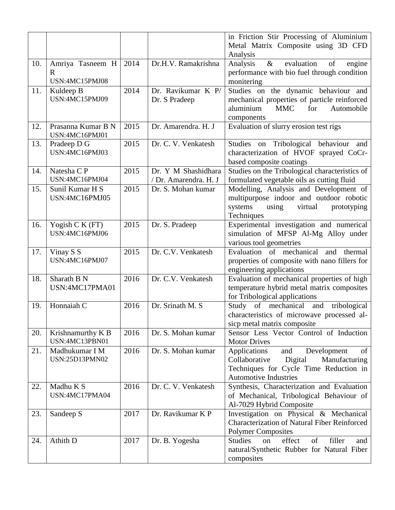|     |                                    |      |                       | in Friction Stir Processing of Aluminium                                               |
|-----|------------------------------------|------|-----------------------|----------------------------------------------------------------------------------------|
|     |                                    |      |                       | Metal Matrix Composite using 3D CFD<br>Analysis                                        |
| 10. | Amriya Tasneem H                   | 2014 | Dr.H.V. Ramakrishna   | $\&$<br>evaluation<br>Analysis<br>of<br>engine                                         |
|     | R.                                 |      |                       | performance with bio fuel through condition                                            |
|     | USN:4MC15PMJ08                     |      |                       | monitering                                                                             |
| 11. | Kuldeep B                          | 2014 | Dr. Ravikumar K P/    | Studies on the dynamic behaviour and                                                   |
|     | USN:4MC15PMJ09                     |      | Dr. S Pradeep         | mechanical properties of particle reinforced                                           |
|     |                                    |      |                       | aluminium<br><b>MMC</b><br>for<br>Automobile                                           |
| 12. | Prasanna Kumar B N                 | 2015 | Dr. Amarendra. H. J   | components<br>Evaluation of slurry erosion test rigs                                   |
|     | USN:4MC16PMJ01                     |      |                       |                                                                                        |
| 13. | Pradeep D G<br>USN:4MC16PMJ03      | 2015 | Dr. C. V. Venkatesh   | Studies on Tribological behaviour and                                                  |
|     |                                    |      |                       | characterization of HVOF sprayed CoCr-<br>based composite coatings                     |
| 14. | Natesha C P                        | 2015 | Dr. Y M Shashidhara   | Studies on the Tribological characteristics of                                         |
|     | USN:4MC16PMJ04                     |      | / Dr. Amarendra. H. J | formulated vegetable oils as cutting fluid                                             |
| 15. | Sunil Kumar H S                    | 2015 | Dr. S. Mohan kumar    | Modelling, Analysis and Development of                                                 |
|     | USN:4MC16PMJ05                     |      |                       | multipurpose indoor and outdoor robotic                                                |
|     |                                    |      |                       | using<br>virtual<br>systems<br>prototyping                                             |
|     |                                    |      |                       | Techniques                                                                             |
| 16. | Yogish $CK$ (FT)<br>USN:4MC16PMJ06 | 2015 | Dr. S. Pradeep        | Experimental investigation and numerical                                               |
|     |                                    |      |                       | simulation of MFSP Al-Mg Alloy under<br>various tool geometries                        |
| 17. | Vinay S S                          | 2015 | Dr. C.V. Venkatesh    | Evaluation of mechanical<br>and thermal                                                |
|     | USN:4MC16PMJ07                     |      |                       | properties of composite with nano fillers for                                          |
|     |                                    |      |                       | engineering applications                                                               |
| 18. | Sharath B N                        | 2016 | Dr. C.V. Venkatesh    | Evaluation of mechanical properties of high                                            |
|     | USN:4MC17PMA01                     |      |                       | temperature hybrid metal matrix composites                                             |
|     |                                    |      |                       | for Tribological applications                                                          |
| 19. | Honnaiah C                         | 2016 | Dr. Srinath M. S      | of mechanical<br>Study<br>and<br>tribological                                          |
|     |                                    |      |                       | characteristics of microwave processed al-<br>sicp metal matrix composite              |
| 20. | Krishnamurthy K B                  | 2016 | Dr. S. Mohan kumar    | Sensor Less Vector Control of Induction                                                |
|     | USN:4MC13PBN01                     |      |                       | <b>Motor Drives</b>                                                                    |
| 21. | Madhukumar I M                     | 2016 | Dr. S. Mohan kumar    | <b>Applications</b><br>and<br>Development<br>of                                        |
|     | USN:25D13PMN02                     |      |                       | Digital<br>Manufacturing<br>Collaborative                                              |
|     |                                    |      |                       | Techniques for Cycle Time Reduction in                                                 |
|     |                                    |      |                       | <b>Automotive Industries</b>                                                           |
| 22. | Madhu K S<br>USN:4MC17PMA04        | 2016 | Dr. C. V. Venkatesh   | Synthesis, Characterization and Evaluation<br>of Mechanical, Tribological Behaviour of |
|     |                                    |      |                       | Al-7029 Hybrid Composite                                                               |
| 23. | Sandeep S                          | 2017 | Dr. Ravikumar K P     | Investigation on Physical & Mechanical                                                 |
|     |                                    |      |                       | <b>Characterization of Natural Fiber Reinforced</b>                                    |
|     |                                    |      |                       | <b>Polymer Composites</b>                                                              |
| 24. | Athith D                           | 2017 | Dr. B. Yogesha        | of<br>filler<br>effect<br><b>Studies</b><br>on<br>and                                  |
|     |                                    |      |                       | natural/Synthetic Rubber for Natural Fiber                                             |
|     |                                    |      |                       | composites                                                                             |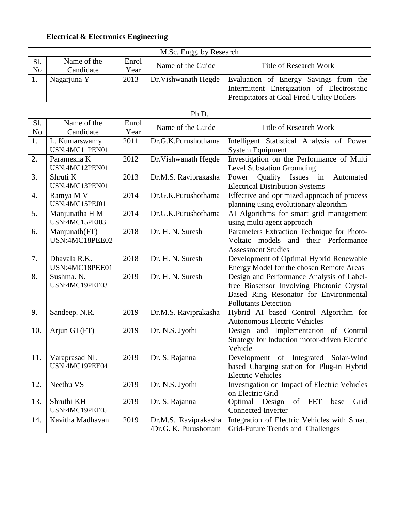### **Electrical & Electronics Engineering**

|           | M.Sc. Engg. by Research  |               |                      |                                             |  |
|-----------|--------------------------|---------------|----------------------|---------------------------------------------|--|
| Sl.<br>No | Name of the<br>Candidate | Enrol<br>Year | Name of the Guide    | <b>Title of Research Work</b>               |  |
|           | Nagarjuna Y              | 2013          | Dr. Vishwanath Hegde | Evaluation of Energy Savings from the       |  |
|           |                          |               |                      | Intermittent Energization of Electrostatic  |  |
|           |                          |               |                      | Precipitators at Coal Fired Utility Boilers |  |

|                 | Ph.D.                            |               |                                               |                                                                                                                                                                 |  |
|-----------------|----------------------------------|---------------|-----------------------------------------------|-----------------------------------------------------------------------------------------------------------------------------------------------------------------|--|
| Sl.<br>$\rm No$ | Name of the<br>Candidate         | Enrol<br>Year | Name of the Guide                             | <b>Title of Research Work</b>                                                                                                                                   |  |
| 1.              | L. Kumarswamy<br>USN:4MC11PEN01  | 2011          | Dr.G.K.Purushothama                           | Intelligent Statistical Analysis of Power<br><b>System Equipment</b>                                                                                            |  |
| 2.              | Paramesha K<br>USN:4MC12PEN01    | 2012          | Dr. Vishwanath Hegde                          | Investigation on the Performance of Multi<br><b>Level Substation Grounding</b>                                                                                  |  |
| 3.              | Shruti K<br>USN:4MC13PEN01       | 2013          | Dr.M.S. Raviprakasha                          | Power<br>Quality<br>in<br>Automated<br><b>Issues</b><br><b>Electrical Distribution Systems</b>                                                                  |  |
| 4.              | Ramya M V<br>USN:4MC15PEJ01      | 2014          | Dr.G.K.Purushothama                           | Effective and optimized approach of process<br>planning using evolutionary algorithm                                                                            |  |
| 5.              | Manjunatha H M<br>USN:4MC15PEJ03 | 2014          | Dr.G.K.Purushothama                           | AI Algorithms for smart grid management<br>using multi agent approach                                                                                           |  |
| 6.              | Manjunath(FT)<br>USN:4MC18PEE02  | 2018          | Dr. H. N. Suresh                              | Parameters Extraction Technique for Photo-<br>Voltaic models and their Performance<br><b>Assessment Studies</b>                                                 |  |
| 7.              | Dhavala R.K.<br>USN:4MC18PEE01   | 2018          | Dr. H. N. Suresh                              | Development of Optimal Hybrid Renewable<br>Energy Model for the chosen Remote Areas                                                                             |  |
| 8.              | Sushma. N.<br>USN:4MC19PEE03     | 2019          | Dr. H. N. Suresh                              | Design and Performance Analysis of Label-<br>free Biosensor Involving Photonic Crystal<br>Based Ring Resonator for Environmental<br><b>Pollutants Detection</b> |  |
| 9.              | Sandeep. N.R.                    | 2019          | Dr.M.S. Raviprakasha                          | Hybrid AI based Control Algorithm for<br><b>Autonomous Electric Vehicles</b>                                                                                    |  |
| 10.             | Arjun GT(FT)                     | 2019          | Dr. N.S. Jyothi                               | Design and Implementation of Control<br>Strategy for Induction motor-driven Electric<br>Vehicle                                                                 |  |
| 11.             | Varaprasad NL<br>USN:4MC19PEE04  | 2019          | Dr. S. Rajanna                                | Development of Integrated Solar-Wind<br>based Charging station for Plug-in Hybrid<br><b>Electric Vehicles</b>                                                   |  |
| 12.             | Neethu VS                        | 2019          | Dr. N.S. Jyothi                               | Investigation on Impact of Electric Vehicles<br>on Electric Grid                                                                                                |  |
| 13.             | Shruthi KH<br>USN:4MC19PEE05     | 2019          | Dr. S. Rajanna                                | of<br><b>FET</b><br>Optimal Design<br>base<br>Grid<br><b>Connected Inverter</b>                                                                                 |  |
| 14.             | Kavitha Madhavan                 | 2019          | Dr.M.S. Raviprakasha<br>/Dr.G. K. Purushottam | Integration of Electric Vehicles with Smart<br>Grid-Future Trends and Challenges                                                                                |  |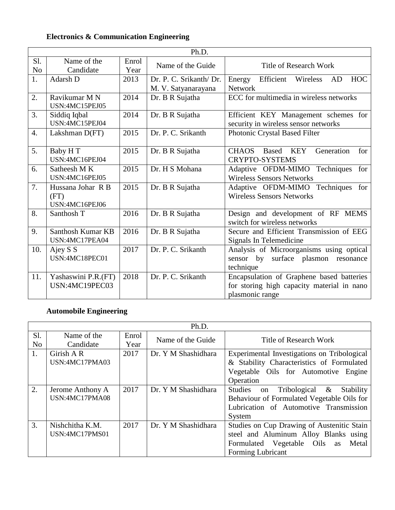### **Electronics & Communication Engineering**

|                       | Ph.D.                                       |               |                                                |                                                                                                            |
|-----------------------|---------------------------------------------|---------------|------------------------------------------------|------------------------------------------------------------------------------------------------------------|
| Sl.<br>N <sub>o</sub> | Name of the<br>Candidate                    | Enrol<br>Year | Name of the Guide                              | <b>Title of Research Work</b>                                                                              |
| 1.                    | Adarsh D                                    | 2013          | Dr. P. C. Srikanth/ Dr.<br>M. V. Satyanarayana | Efficient<br>Energy<br>Wireless<br>AD<br><b>HOC</b><br><b>Network</b>                                      |
| 2.                    | Ravikumar M N<br>USN:4MC15PEJ05             | 2014          | Dr. B R Sujatha                                | ECC for multimedia in wireless networks                                                                    |
| 3.                    | Siddiq Iqbal<br>USN:4MC15PEJ04              | 2014          | Dr. B R Sujatha                                | Efficient KEY Management schemes for<br>security in wireless sensor networks                               |
| $\overline{4}$ .      | Lakshman D(FT)                              | 2015          | Dr. P. C. Srikanth                             | Photonic Crystal Based Filter                                                                              |
| 5.                    | Baby HT<br>USN:4MC16PEJ04                   | 2015          | Dr. B R Sujatha                                | Generation<br><b>KEY</b><br>for<br><b>CHAOS</b><br><b>Based</b><br><b>CRYPTO-SYSTEMS</b>                   |
| 6.                    | Satheesh M K<br>USN:4MC16PEJ05              | 2015          | Dr. H S Mohana                                 | Adaptive OFDM-MIMO<br>for<br>Techniques<br><b>Wireless Sensors Networks</b>                                |
| 7.                    | Hussana Johar R B<br>(FT)<br>USN:4MC16PEJ06 | 2015          | Dr. B R Sujatha                                | Adaptive OFDM-MIMO Techniques for<br><b>Wireless Sensors Networks</b>                                      |
| 8.                    | Santhosh T                                  | 2016          | Dr. B R Sujatha                                | Design and development of RF MEMS<br>switch for wireless networks                                          |
| 9.                    | Santhosh Kumar KB<br>USN:4MC17PEA04         | 2016          | Dr. B R Sujatha                                | Secure and Efficient Transmission of EEG<br>Signals In Telemedicine                                        |
| 10.                   | Ajey S S<br>USN:4MC18PEC01                  | 2017          | Dr. P. C. Srikanth                             | Analysis of Microorganisms using optical<br>sensor by surface plasmon resonance<br>technique               |
| 11.                   | Yashaswini P.R.(FT)<br>USN:4MC19PEC03       | 2018          | Dr. P. C. Srikanth                             | Encapsulation of Graphene based batteries<br>for storing high capacity material in nano<br>plasmonic range |

# **Automobile Engineering**

|                       | Ph.D.                              |               |                     |                                                                                                                                                          |
|-----------------------|------------------------------------|---------------|---------------------|----------------------------------------------------------------------------------------------------------------------------------------------------------|
| Sl.<br>N <sub>o</sub> | Name of the<br>Candidate           | Enrol<br>Year | Name of the Guide   | <b>Title of Research Work</b>                                                                                                                            |
| 1.                    | Girish A R<br>USN:4MC17PMA03       | 2017          | Dr. Y M Shashidhara | Experimental Investigations on Tribological<br>& Stability Characteristics of Formulated<br>Vegetable Oils for Automotive Engine<br>Operation            |
| 2.                    | Jerome Anthony A<br>USN:4MC17PMA08 | 2017          | Dr. Y M Shashidhara | <b>Studies</b><br>Tribological &<br>Stability<br>on<br>Behaviour of Formulated Vegetable Oils for<br>Lubrication of Automotive Transmission<br>System    |
| 3.                    | Nishchitha K.M.<br>USN:4MC17PMS01  | 2017          | Dr. Y M Shashidhara | Studies on Cup Drawing of Austenitic Stain<br>steel and Aluminum Alloy Blanks using<br>Formulated Vegetable Oils as<br>Metal<br><b>Forming Lubricant</b> |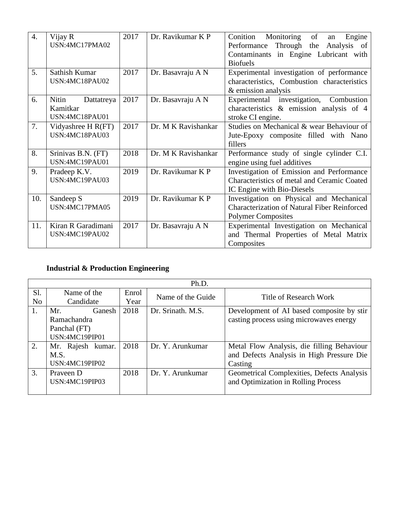| 4.  | Vijay R             | 2017 | Dr. Ravikumar K P   | Monitoring<br>of<br>Conition<br>Engine<br>an        |
|-----|---------------------|------|---------------------|-----------------------------------------------------|
|     | USN:4MC17PMA02      |      |                     | Through the<br>Performance<br>Analysis of           |
|     |                     |      |                     | Contaminants in Engine Lubricant with               |
|     |                     |      |                     | <b>Biofuels</b>                                     |
| 5.  | Sathish Kumar       | 2017 | Dr. Basavraju A N   | Experimental investigation of performance           |
|     | USN:4MC18PAU02      |      |                     | characteristics, Combustion characteristics         |
|     |                     |      |                     | & emission analysis                                 |
| 6.  | Nitin<br>Dattatreya | 2017 | Dr. Basavraju A N   | Experimental investigation, Combustion              |
|     | Kamitkar            |      |                     | characteristics $\&$ emission analysis of 4         |
|     | USN:4MC18PAU01      |      |                     | stroke CI engine.                                   |
| 7.  | Vidyashree H R(FT)  | 2017 | Dr. M K Ravishankar | Studies on Mechanical & wear Behaviour of           |
|     | USN:4MC18PAU03      |      |                     | Jute-Epoxy composite filled with Nano               |
|     |                     |      |                     | fillers                                             |
| 8.  | Srinivas B.N. (FT)  | 2018 | Dr. M K Ravishankar | Performance study of single cylinder C.I.           |
|     | USN:4MC19PAU01      |      |                     | engine using fuel additives                         |
| 9.  | Pradeep K.V.        | 2019 | Dr. Ravikumar K P   | Investigation of Emission and Performance           |
|     | USN:4MC19PAU03      |      |                     | Characteristics of metal and Ceramic Coated         |
|     |                     |      |                     | IC Engine with Bio-Diesels                          |
| 10. | Sandeep S           | 2019 | Dr. Ravikumar K P   | Investigation on Physical and Mechanical            |
|     | USN:4MC17PMA05      |      |                     | <b>Characterization of Natural Fiber Reinforced</b> |
|     |                     |      |                     | <b>Polymer Composites</b>                           |
| 11. | Kiran R Garadimani  | 2017 | Dr. Basavraju A N   | Experimental Investigation on Mechanical            |
|     | USN:4MC19PAU02      |      |                     | and Thermal Properties of Metal Matrix              |
|     |                     |      |                     | Composites                                          |

# **Industrial & Production Engineering**

|     | Ph.D.                |       |                   |                                            |  |
|-----|----------------------|-------|-------------------|--------------------------------------------|--|
| Sl. | Name of the          | Enrol | Name of the Guide | Title of Research Work                     |  |
| No  | Candidate            | Year  |                   |                                            |  |
| Ι.  | Mr.<br><b>Ganesh</b> | 2018  | Dr. Srinath, M.S. | Development of AI based composite by stir  |  |
|     | Ramachandra          |       |                   | casting process using microwaves energy    |  |
|     | Panchal (FT)         |       |                   |                                            |  |
|     | USN:4MC19PIP01       |       |                   |                                            |  |
| 2.  | Mr. Rajesh kumar.    | 2018  | Dr. Y. Arunkumar  | Metal Flow Analysis, die filling Behaviour |  |
|     | M.S.                 |       |                   | and Defects Analysis in High Pressure Die  |  |
|     | USN:4MC19PIP02       |       |                   | Casting                                    |  |
| 3.  | Prayeen D            | 2018  | Dr. Y. Arunkumar  | Geometrical Complexities, Defects Analysis |  |
|     | USN:4MC19PIP03       |       |                   | and Optimization in Rolling Process        |  |
|     |                      |       |                   |                                            |  |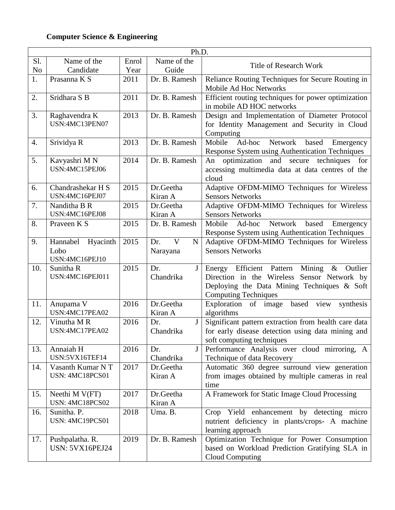# **Computer Science & Engineering**

|                | Ph.D.                        |       |                         |                                                                                                      |
|----------------|------------------------------|-------|-------------------------|------------------------------------------------------------------------------------------------------|
| Sl.            | Name of the                  | Enrol | Name of the             | <b>Title of Research Work</b>                                                                        |
| N <sub>o</sub> | Candidate                    | Year  | Guide                   |                                                                                                      |
| 1.             | Prasanna K S                 | 2011  | Dr. B. Ramesh           | Reliance Routing Techniques for Secure Routing in                                                    |
|                |                              |       |                         | Mobile Ad Hoc Networks                                                                               |
| 2.             | Sridhara S B                 | 2011  | Dr. B. Ramesh           | Efficient routing techniques for power optimization                                                  |
|                |                              |       |                         | in mobile AD HOC networks                                                                            |
| 3.             | Raghavendra K                | 2013  | Dr. B. Ramesh           | Design and Implementation of Diameter Protocol                                                       |
|                | USN:4MC13PEN07               |       |                         | for Identity Management and Security in Cloud                                                        |
|                |                              |       |                         | Computing                                                                                            |
| 4.             | Srividya R                   | 2013  | Dr. B. Ramesh           | Mobile<br>Ad-hoc<br>Network<br>based<br>Emergency                                                    |
|                |                              |       |                         | <b>Response System using Authentication Techniques</b>                                               |
| 5.             | Kavyashri MN                 | 2014  | Dr. B. Ramesh           | optimization and<br>secure techniques<br>for<br>An                                                   |
|                | USN:4MC15PEJ06               |       |                         | accessing multimedia data at data centres of the                                                     |
|                |                              |       |                         | cloud                                                                                                |
| 6.             | Chandrashekar H S            | 2015  | Dr.Geetha               | Adaptive OFDM-MIMO Techniques for Wireless                                                           |
|                | USN:4MC16PEJ07               |       | Kiran A                 | <b>Sensors Networks</b>                                                                              |
| 7.             | Nanditha B R                 | 2015  | Dr.Geetha               | Adaptive OFDM-MIMO Techniques for Wireless                                                           |
|                | USN:4MC16PEJ08               |       | Kiran A                 | <b>Sensors Networks</b>                                                                              |
| 8.             | Praveen K S                  | 2015  | Dr. B. Ramesh           | Mobile Ad-hoc<br>Network<br>based<br>Emergency                                                       |
|                |                              |       |                         | <b>Response System using Authentication Techniques</b>                                               |
| 9.             | Hannabel<br>Hyacinth         | 2015  | V<br>Dr.<br>$\mathbf N$ | Adaptive OFDM-MIMO Techniques for Wireless                                                           |
|                | Lobo                         |       | Narayana                | <b>Sensors Networks</b>                                                                              |
|                | USN:4MC16PEJ10               | 2015  | Dr.                     |                                                                                                      |
| 10.            | Sunitha R<br>USN:4MC16PEJ011 |       | J<br>Chandrika          | Energy Efficient Pattern<br>Mining<br>$\&$<br>Outlier<br>Direction in the Wireless Sensor Network by |
|                |                              |       |                         | Deploying the Data Mining Techniques & Soft                                                          |
|                |                              |       |                         | <b>Computing Techniques</b>                                                                          |
| 11.            | Anupama V                    | 2016  | Dr.Geetha               | Exploration of image<br>based<br>view<br>synthesis                                                   |
|                | USN:4MC17PEA02               |       | Kiran A                 | algorithms                                                                                           |
| 12.            | Vinutha M R                  | 2016  | J<br>Dr.                | Significant pattern extraction from health care data                                                 |
|                | USN:4MC17PEA02               |       | Chandrika               | for early disease detection using data mining and                                                    |
|                |                              |       |                         | soft computing techniques                                                                            |
| 13.            | Annaiah H                    | 2016  | Dr.<br>J                | Performance Analysis over cloud mirroring, A                                                         |
|                | USN:5VX16TEF14               |       | Chandrika               | Technique of data Recovery                                                                           |
| 14.            | Vasanth Kumar NT             | 2017  | Dr.Geetha               | Automatic 360 degree surround view generation                                                        |
|                | USN: 4MC18PCS01              |       | Kiran A                 | from images obtained by multiple cameras in real                                                     |
|                |                              |       |                         | time                                                                                                 |
| 15.            | Neethi M V(FT)               | 2017  | Dr.Geetha               | A Framework for Static Image Cloud Processing                                                        |
|                | USN: 4MC18PCS02              |       | Kiran A                 |                                                                                                      |
| 16.            | Sunitha. P.                  | 2018  | Uma. B.                 | Crop Yield enhancement by detecting micro                                                            |
|                | USN: 4MC19PCS01              |       |                         | nutrient deficiency in plants/crops- A machine                                                       |
|                |                              |       |                         | learning approach                                                                                    |
| 17.            | Pushpalatha. R.              | 2019  | Dr. B. Ramesh           | Optimization Technique for Power Consumption                                                         |
|                | USN: 5VX16PEJ24              |       |                         | based on Workload Prediction Gratifying SLA in                                                       |
|                |                              |       |                         | Cloud Computing                                                                                      |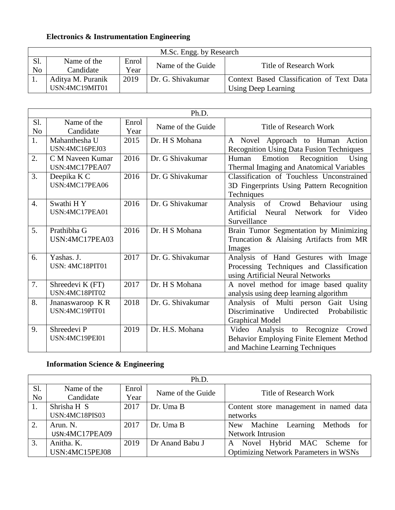### **Electronics & Instrumentation Engineering**

|     | M.Sc. Engg. by Research |       |                   |                                           |  |
|-----|-------------------------|-------|-------------------|-------------------------------------------|--|
| Sl. | Name of the             | Enrol | Name of the Guide | Title of Research Work                    |  |
| No  | Candidate               | Year  |                   |                                           |  |
|     | Aditya M. Puranik       | 2019  | Dr. G. Shivakumar | Context Based Classification of Text Data |  |
|     | USN:4MC19MIT01          |       |                   | Using Deep Learning                       |  |

|                       | Ph.D.                              |               |                   |                                                                                                                      |  |
|-----------------------|------------------------------------|---------------|-------------------|----------------------------------------------------------------------------------------------------------------------|--|
| Sl.<br>N <sub>o</sub> | Name of the<br>Candidate           | Enrol<br>Year | Name of the Guide | <b>Title of Research Work</b>                                                                                        |  |
| 1.                    | Mahanthesha U<br>USN:4MC16PEJ03    | 2015          | Dr. H S Mohana    | A Novel Approach to Human Action<br><b>Recognition Using Data Fusion Techniques</b>                                  |  |
| 2.                    | C M Naveen Kumar<br>USN:4MC17PEA07 | 2016          | Dr. G Shivakumar  | Emotion Recognition<br>Using<br>Human<br>Thermal Imaging and Anatomical Variables                                    |  |
| 3.                    | Deepika K C<br>USN:4MC17PEA06      | 2016          | Dr. G Shivakumar  | Classification of Touchless Unconstrained<br>3D Fingerprints Using Pattern Recognition<br>Techniques                 |  |
| 4.                    | Swathi HY<br>USN:4MC17PEA01        | 2016          | Dr. G Shivakumar  | of Crowd Behaviour<br>Analysis<br>using<br>Artificial<br>Neural<br>Network<br>Video<br>for<br>Surveillance           |  |
| 5.                    | Prathibha G<br>USN:4MC17PEA03      | 2016          | Dr. H S Mohana    | Brain Tumor Segmentation by Minimizing<br>Truncation & Alaising Artifacts from MR<br>Images                          |  |
| 6.                    | Yashas. J.<br>USN: 4MC18PIT01      | 2017          | Dr. G. Shivakumar | Analysis of Hand Gestures with Image<br>Processing Techniques and Classification<br>using Artificial Neural Networks |  |
| 7.                    | Shreedevi K (FT)<br>USN:4MC18PIT02 | 2017          | Dr. H S Mohana    | A novel method for image based quality<br>analysis using deep learning algorithm                                     |  |
| 8.                    | Jnanaswaroop KR<br>USN:4MC19PIT01  | 2018          | Dr. G. Shivakumar | Analysis of Multi person Gait Using<br>Undirected<br>Discriminative<br>Probabilistic<br><b>Graphical Model</b>       |  |
| 9.                    | Shreedevi P<br>USN:4MC19PEI01      | 2019          | Dr. H.S. Mohana   | Video Analysis to Recognize<br>Crowd<br>Behavior Employing Finite Element Method<br>and Machine Learning Techniques  |  |

# **Information Science & Engineering**

| Ph.D.          |                |       |                   |                                              |  |  |
|----------------|----------------|-------|-------------------|----------------------------------------------|--|--|
| Sl.            | Name of the    | Enrol | Name of the Guide | Title of Research Work                       |  |  |
| N <sub>o</sub> | Candidate      | Year  |                   |                                              |  |  |
|                | Shrisha H S    | 2017  | Dr. Uma B         | Content store management in named data       |  |  |
|                | USN:4MC18PIS03 |       |                   | networks                                     |  |  |
| 2.             | Arun. N.       | 2017  | Dr. Uma B         | for 1<br>Machine Learning<br>Methods<br>New  |  |  |
|                | USN:4MC17PEA09 |       |                   | <b>Network Intrusion</b>                     |  |  |
| 3.             | Anitha. K.     | 2019  | Dr Anand Babu J   | Novel Hybrid MAC Scheme for<br>A             |  |  |
|                | USN:4MC15PEJ08 |       |                   | <b>Optimizing Network Parameters in WSNs</b> |  |  |